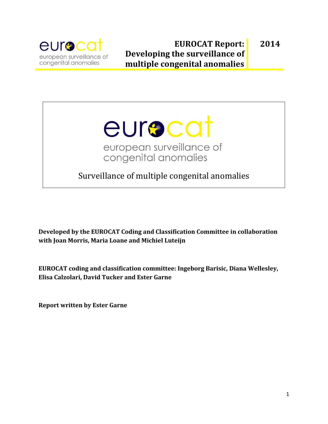

## **EUROCAT Report: Developing the surveillance of multiple congenital anomalies 2014**

# eurocat european surveillance of congenital anomalies

Surveillance of multiple congenital anomalies

**Developed by the EUROCAT Coding and Classification Committee in collaboration with Joan Morris, Maria Loane and Michiel Luteijn**

**EUROCAT coding and classification committee: Ingeborg Barisic, Diana Wellesley, Elisa Calzolari, David Tucker and Ester Garne**

**Report written by Ester Garne**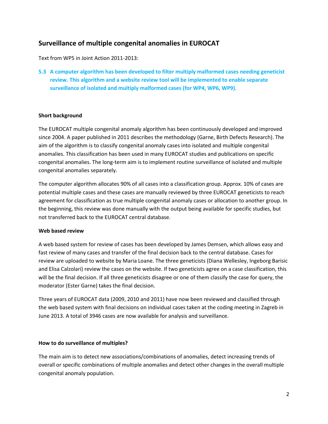## **Surveillance of multiple congenital anomalies in EUROCAT**

Text from WP5 in Joint Action 2011-2013:

**5.3 A computer algorithm has been developed to filter multiply malformed cases needing geneticist review. This algorithm and a website review tool will be implemented to enable separate surveillance of isolated and multiply malformed cases (for WP4, WP6, WP9).** 

#### **Short background**

The EUROCAT multiple congenital anomaly algorithm has been continuously developed and improved since 2004. A paper published in 2011 describes the methodology (Garne, Birth Defects Research). The aim of the algorithm is to classify congenital anomaly cases into isolated and multiple congenital anomalies. This classification has been used in many EUROCAT studies and publications on specific congenital anomalies. The long-term aim is to implement routine surveillance of isolated and multiple congenital anomalies separately.

The computer algorithm allocates 90% of all cases into a classification group. Approx. 10% of cases are potential multiple cases and these cases are manually reviewed by three EUROCAT geneticists to reach agreement for classification as true multiple congenital anomaly cases or allocation to another group. In the beginning, this review was done manually with the output being available for specific studies, but not transferred back to the EUROCAT central database.

#### **Web based review**

A web based system for review of cases has been developed by James Demsen, which allows easy and fast review of many cases and transfer of the final decision back to the central database. Cases for review are uploaded to website by Maria Loane. The three geneticists (Diana Wellesley, Ingeborg Barisic and Elisa Calzolari) review the cases on the website. If two geneticists agree on a case classification, this will be the final decision. If all three geneticists disagree or one of them classify the case for query, the moderator (Ester Garne) takes the final decision.

Three years of EUROCAT data (2009, 2010 and 2011) have now been reviewed and classified through the web based system with final decisions on individual cases taken at the coding meeting in Zagreb in June 2013. A total of 3946 cases are now available for analysis and surveillance.

#### **How to do surveillance of multiples?**

The main aim is to detect new associations/combinations of anomalies, detect increasing trends of overall or specific combinations of multiple anomalies and detect other changes in the overall multiple congenital anomaly population.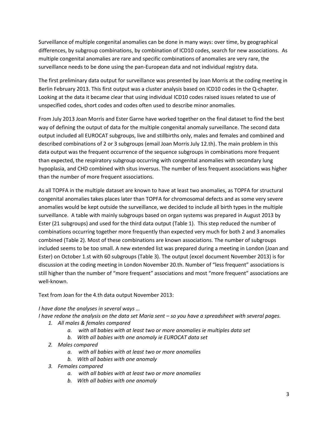Surveillance of multiple congenital anomalies can be done in many ways: over time, by geographical differences, by subgroup combinations, by combination of ICD10 codes, search for new associations. As multiple congenital anomalies are rare and specific combinations of anomalies are very rare, the surveillance needs to be done using the pan-European data and not individual registry data.

The first preliminary data output for surveillance was presented by Joan Morris at the coding meeting in Berlin February 2013. This first output was a cluster analysis based on ICD10 codes in the Q-chapter. Looking at the data it became clear that using individual ICD10 codes raised issues related to use of unspecified codes, short codes and codes often used to describe minor anomalies.

From July 2013 Joan Morris and Ester Garne have worked together on the final dataset to find the best way of defining the output of data for the multiple congenital anomaly surveillance. The second data output included all EUROCAT subgroups, live and stillbirths only, males and females and combined and described combinations of 2 or 3 subgroups (email Joan Morris July 12.th). The main problem in this data output was the frequent occurrence of the sequence subgroups in combinations more frequent than expected, the respiratory subgroup occurring with congenital anomalies with secondary lung hypoplasia, and CHD combined with situs inversus. The number of less frequent associations was higher than the number of more frequent associations.

As all TOPFA in the multiple dataset are known to have at least two anomalies, as TOPFA for structural congenital anomalies takes places later than TOPFA for chromosomal defects and as some very severe anomalies would be kept outside the surveillance, we decided to include all birth types in the multiple surveillance. A table with mainly subgroups based on organ systems was prepared in August 2013 by Ester (21 subgroups) and used for the third data output (Table 1). This step reduced the number of combinations occurring together more frequently than expected very much for both 2 and 3 anomalies combined (Table 2). Most of these combinations are known associations. The number of subgroups included seems to be too small. A new extended list was prepared during a meeting in London (Joan and Ester) on October 1.st with 60 subgroups (Table 3). The output (excel document November 2013) is for discussion at the coding meeting in London November 20.th. Number of "less frequent" associations is still higher than the number of "more frequent" associations and most "more frequent" associations are well-known.

Text from Joan for the 4.th data output November 2013:

*I have done the analyses in several ways …*

*I* have redone the analysis on the data set Maria sent – so you have a spreadsheet with several pages.

- *1. All males & females compared* 
	- *a. with all babies with at least two or more anomalies ie multiples data set*
	- *b. With all babies with one anomaly ie EUROCAT data set*
- *2. Males compared* 
	- *a. with all babies with at least two or more anomalies*
	- *b. With all babies with one anomaly*
- *3. Females compared* 
	- *a. with all babies with at least two or more anomalies*
	- *b. With all babies with one anomaly*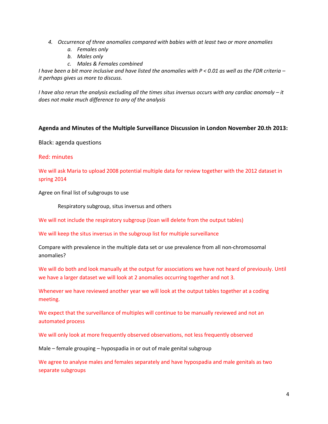- *4. Occurrence of three anomalies compared with babies with at least two or more anomalies*
	- *a. Females only*
	- *b. Males only*
	- *c. Males & Females combined*

*I have been a bit more inclusive and have listed the anomalies with P < 0.01 as well as the FDR criteria – it perhaps gives us more to discuss.*

*I* have also rerun the analysis excluding all the times situs inversus occurs with any cardiac anomaly – it *does not make much difference to any of the analysis* 

#### **Agenda and Minutes of the Multiple Surveillance Discussion in London November 20.th 2013:**

Black: agenda questions

#### Red: minutes

We will ask Maria to upload 2008 potential multiple data for review together with the 2012 dataset in spring 2014

Agree on final list of subgroups to use

Respiratory subgroup, situs inversus and others

We will not include the respiratory subgroup (Joan will delete from the output tables)

We will keep the situs inversus in the subgroup list for multiple surveillance

Compare with prevalence in the multiple data set or use prevalence from all non-chromosomal anomalies?

We will do both and look manually at the output for associations we have not heard of previously. Until we have a larger dataset we will look at 2 anomalies occurring together and not 3.

Whenever we have reviewed another year we will look at the output tables together at a coding meeting.

We expect that the surveillance of multiples will continue to be manually reviewed and not an automated process

We will only look at more frequently observed observations, not less frequently observed

Male – female grouping – hypospadia in or out of male genital subgroup

We agree to analyse males and females separately and have hypospadia and male genitals as two separate subgroups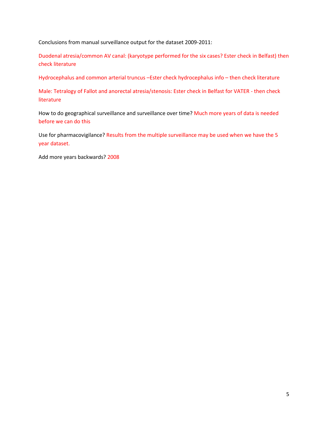Conclusions from manual surveillance output for the dataset 2009-2011:

Duodenal atresia/common AV canal: (karyotype performed for the six cases? Ester check in Belfast) then check literature

Hydrocephalus and common arterial truncus –Ester check hydrocephalus info – then check literature

Male: Tetralogy of Fallot and anorectal atresia/stenosis: Ester check in Belfast for VATER - then check literature

How to do geographical surveillance and surveillance over time? Much more years of data is needed before we can do this

Use for pharmacovigilance? Results from the multiple surveillance may be used when we have the 5 year dataset.

Add more years backwards? 2008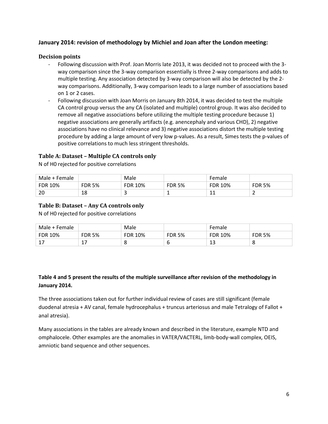#### **January 2014: revision of methodology by Michiel and Joan after the London meeting:**

#### **Decision points**

- Following discussion with Prof. Joan Morris late 2013, it was decided not to proceed with the 3 way comparison since the 3-way comparison essentially is three 2-way comparisons and adds to multiple testing. Any association detected by 3-way comparison will also be detected by the 2 way comparisons. Additionally, 3-way comparison leads to a large number of associations based on 1 or 2 cases.
- Following discussion with Joan Morris on January 8th 2014, it was decided to test the multiple CA control group versus the any CA (isolated and multiple) control group. It was also decided to remove all negative associations before utilizing the multiple testing procedure because 1) negative associations are generally artifacts (e.g. anencephaly and various CHD), 2) negative associations have no clinical relevance and 3) negative associations distort the multiple testing procedure by adding a large amount of very low p-values. As a result, Simes tests the p-values of positive correlations to much less stringent thresholds.

#### **Table A: Dataset – Multiple CA controls only**

N of H0 rejected for positive correlations

| Male + Female |               | Male    |               | Female         |               |
|---------------|---------------|---------|---------------|----------------|---------------|
| FDR 10%       | <b>FDR 5%</b> | FDR 10% | <b>FDR 5%</b> | <b>FDR 10%</b> | <b>FDR 5%</b> |
| ີ<br>∠∪       | 18            |         |               | <b>. .</b>     | -             |

#### **Table B: Dataset – Any CA controls only**

N of H0 rejected for positive correlations

| Male + Female |               | Male           |               | Female         |               |
|---------------|---------------|----------------|---------------|----------------|---------------|
| FDR 10%       | <b>FDR 5%</b> | <b>FDR 10%</b> | <b>FDR 5%</b> | <b>FDR 10%</b> | <b>FDR 5%</b> |
| $\sim$        |               |                | O             | ᅩ              | u             |

### **Table 4 and 5 present the results of the multiple surveillance after revision of the methodology in January 2014.**

The three associations taken out for further individual review of cases are still significant (female duodenal atresia + AV canal, female hydrocephalus + truncus arteriosus and male Tetralogy of Fallot + anal atresia).

Many associations in the tables are already known and described in the literature, example NTD and omphalocele. Other examples are the anomalies in VATER/VACTERL, limb-body-wall complex, OEIS, amniotic band sequence and other sequences.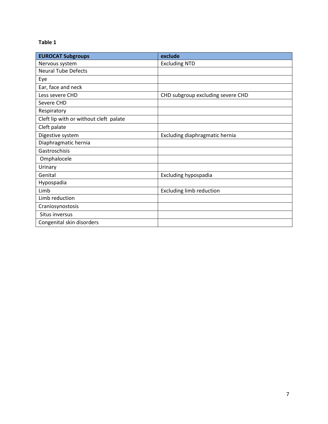## **Table 1**

| <b>EUROCAT Subgroups</b>               | exclude                           |
|----------------------------------------|-----------------------------------|
| Nervous system                         | <b>Excluding NTD</b>              |
| <b>Neural Tube Defects</b>             |                                   |
| Eye                                    |                                   |
| Ear, face and neck                     |                                   |
| Less severe CHD                        | CHD subgroup excluding severe CHD |
| Severe CHD                             |                                   |
| Respiratory                            |                                   |
| Cleft lip with or without cleft palate |                                   |
| Cleft palate                           |                                   |
| Digestive system                       | Excluding diaphragmatic hernia    |
| Diaphragmatic hernia                   |                                   |
| Gastroschisis                          |                                   |
| Omphalocele                            |                                   |
| Urinary                                |                                   |
| Genital                                | <b>Excluding hypospadia</b>       |
| Hypospadia                             |                                   |
| Limb                                   | <b>Excluding limb reduction</b>   |
| Limb reduction                         |                                   |
| Craniosynostosis                       |                                   |
| Situs inversus                         |                                   |
| Congenital skin disorders              |                                   |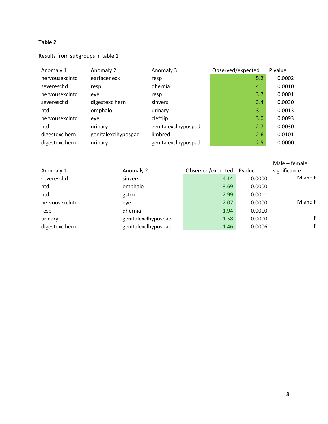#### **Table 2**

## Results from subgroups in table 1

| Anomaly 1      | Anomaly 2           | Anomaly 3           | Observed/expected | P value |
|----------------|---------------------|---------------------|-------------------|---------|
| nervousexclntd | earfaceneck         | resp                | 5.2               | 0.0002  |
| severeschd     | resp                | dhernia             | 4.1               | 0.0010  |
| nervousexclntd | eye                 | resp                | 3.7               | 0.0001  |
| severeschd     | digestexclhern      | sinvers             | 3.4               | 0.0030  |
| ntd            | omphalo             | urinary             | 3.1               | 0.0013  |
| nervousexclntd | eye                 | cleftlip            | 3.0               | 0.0093  |
| ntd            | urinary             | genitalexclhypospad | 2.7               | 0.0030  |
| digestexclhern | genitalexclhypospad | limbred             | 2.6               | 0.0101  |
| digestexclhern | urinary             | genitalexclhypospad | 2.5               | 0.0000  |

| Anomaly 1      | Anomaly 2           | Observed/expected | Pvalue | Male – female<br>significance |
|----------------|---------------------|-------------------|--------|-------------------------------|
| severeschd     | sinvers             | 4.14              | 0.0000 | M and F                       |
| ntd            | omphalo             | 3.69              | 0.0000 |                               |
| ntd            | gstro               | 2.99              | 0.0011 |                               |
| nervousexclntd | eye                 | 2.07              | 0.0000 | M and F                       |
| resp           | dhernia             | 1.94              | 0.0010 |                               |
| urinary        | genitalexclhypospad | 1.58              | 0.0000 | F                             |
| digestexclhern | genitalexclhypospad | 1.46              | 0.0006 | F                             |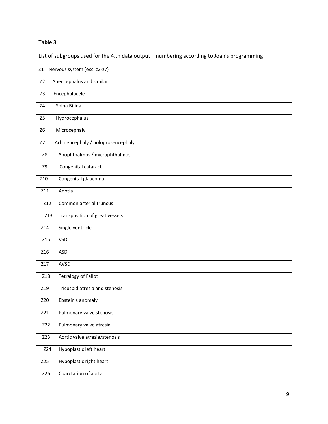## **Table 3**

List of subgroups used for the 4.th data output – numbering according to Joan's programming

| Nervous system (excl z2-z7)<br>Z1          |
|--------------------------------------------|
| Z <sub>2</sub><br>Anencephalus and similar |
| Z <sub>3</sub><br>Encephalocele            |
| Spina Bifida<br>$\mathsf{Z}4$              |
| Hydrocephalus<br>Z5                        |
| Microcephaly<br>Z <sub>6</sub>             |
| Arhinencephaly / holoprosencephaly<br>Z7   |
| Anophthalmos / microphthalmos<br>Z8        |
| <b>Z9</b><br>Congenital cataract           |
| Z10<br>Congenital glaucoma                 |
| Z11<br>Anotia                              |
| Z12<br>Common arterial truncus             |
| Transposition of great vessels<br>Z13      |
| Single ventricle<br>Z14                    |
| Z15<br><b>VSD</b>                          |
| Z16<br><b>ASD</b>                          |
| AVSD<br>Z17                                |
| <b>Tetralogy of Fallot</b><br>Z18          |
| Z19<br>Tricuspid atresia and stenosis      |
| Ebstein's anomaly<br>Z20                   |
| Pulmonary valve stenosis<br>Z21            |
| Z22<br>Pulmonary valve atresia             |
| Z23<br>Aortic valve atresia/stenosis       |
| Z24<br>Hypoplastic left heart              |
| Hypoplastic right heart<br>Z25             |
| Coarctation of aorta<br>Z26                |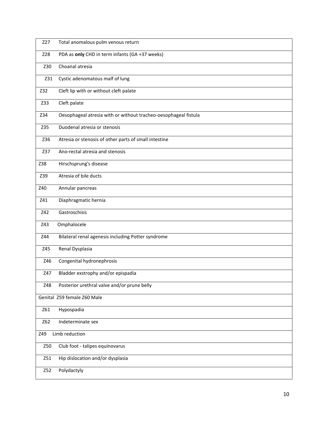| Z27        | Total anomalous pulm venous return                              |
|------------|-----------------------------------------------------------------|
| Z28        | PDA as only CHD in term infants (GA +37 weeks)                  |
| Z30        | Choanal atresia                                                 |
| Z31        | Cystic adenomatous malf of lung                                 |
| Z32        | Cleft lip with or without cleft palate                          |
| Z33        | Cleft palate                                                    |
| Z34        | Oesophageal atresia with or without tracheo-oesophageal fistula |
| Z35        | Duodenal atresia or stenosis                                    |
| Z36        | Atresia or stenosis of other parts of small intestine           |
| Z37        | Ano-rectal atresia and stenosis                                 |
| Z38        | Hirschsprung's disease                                          |
| Z39        | Atresia of bile ducts                                           |
| Z40        | Annular pancreas                                                |
| Z41        | Diaphragmatic hernia                                            |
| <b>Z42</b> | Gastroschisis                                                   |
| Z43        | Omphalocele                                                     |
| Z44        | Bilateral renal agenesis including Potter syndrome              |
| Z45        | Renal Dysplasia                                                 |
| Z46        | Congenital hydronephrosis                                       |
| Z47        | Bladder exstrophy and/or epispadia                              |
| Z48        | Posterior urethral valve and/or prune belly                     |
|            | Genital Z59 female Z60 Male                                     |
| Z61        | Hypospadia                                                      |
| Z62        | Indeterminate sex                                               |
| Z49        | Limb reduction                                                  |
| Z50        | Club foot - talipes equinovarus                                 |
| Z51        | Hip dislocation and/or dysplasia                                |
| Z52        | Polydactyly                                                     |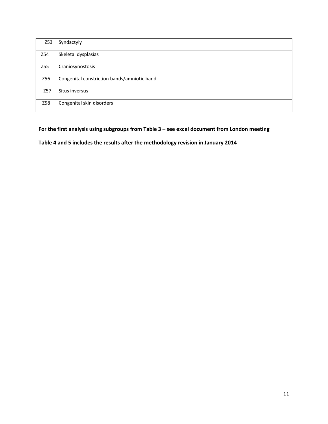| Z53             | Syndactyly                                  |
|-----------------|---------------------------------------------|
| Z54             | Skeletal dysplasias                         |
| Z55             | Craniosynostosis                            |
| Z56             | Congenital constriction bands/amniotic band |
| Z <sub>57</sub> | Situs inversus                              |
| Z58             | Congenital skin disorders                   |

#### **For the first analysis using subgroups from Table 3 – see excel document from London meeting**

**Table 4 and 5 includes the results after the methodology revision in January 2014**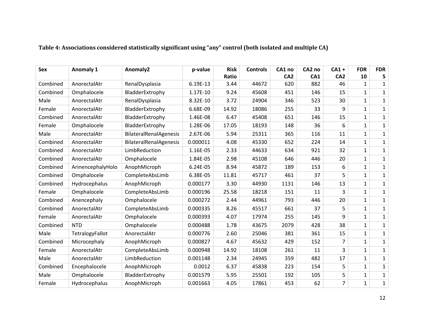| <b>Sex</b> | <b>Anomaly 1</b>  | Anomaly2               | p-value  | <b>Risk</b> | <b>Controls</b> | CA1 no          | CA <sub>2</sub> no | $CA1 +$         | <b>FDR</b>   | <b>FDR</b>   |
|------------|-------------------|------------------------|----------|-------------|-----------------|-----------------|--------------------|-----------------|--------------|--------------|
|            |                   |                        |          | Ratio       |                 | CA <sub>2</sub> | CA1                | CA <sub>2</sub> | 10           | 5            |
| Combined   | AnorectalAtr      | RenalDysplasia         | 6.19E-13 | 3.44        | 44672           | 620             | 882                | 46              | $\mathbf{1}$ | $\mathbf{1}$ |
| Combined   | Omphalocele       | BladderExtrophy        | 1.17E-10 | 9.24        | 45608           | 451             | 146                | 15              | $\mathbf{1}$ | $\mathbf{1}$ |
| Male       | AnorectalAtr      | RenalDysplasia         | 8.32E-10 | 3.72        | 24904           | 346             | 523                | 30              | $\mathbf{1}$ | $\mathbf{1}$ |
| Female     | AnorectalAtr      | BladderExtrophy        | 6.68E-09 | 14.92       | 18086           | 255             | 33                 | 9               | $\mathbf{1}$ | $\mathbf{1}$ |
| Combined   | AnorectalAtr      | BladderExtrophy        | 1.46E-08 | 6.47        | 45408           | 651             | 146                | 15              | $\mathbf{1}$ | $\mathbf{1}$ |
| Female     | Omphalocele       | BladderExtrophy        | 1.28E-06 | 17.05       | 18193           | 148             | 36                 | 6               | $\mathbf{1}$ | $\mathbf{1}$ |
| Male       | AnorectalAtr      | BilateralRenalAgenesis | 2.67E-06 | 5.94        | 25311           | 365             | 116                | 11              | $\mathbf 1$  | 1            |
| Combined   | AnorectalAtr      | BilateralRenalAgenesis | 0.000011 | 4.08        | 45330           | 652             | 224                | 14              | $\mathbf{1}$ | $\mathbf{1}$ |
| Combined   | AnorectalAtr      | LimbReduction          | 1.16E-05 | 2.33        | 44633           | 634             | 921                | 32              | $\mathbf{1}$ | $\mathbf{1}$ |
| Combined   | AnorectalAtr      | Omphalocele            | 1.84E-05 | 2.98        | 45108           | 646             | 446                | 20              | $\mathbf{1}$ | $\mathbf{1}$ |
| Combined   | ArinencephalyHolo | AnophMicroph           | 6.24E-05 | 8.94        | 45872           | 189             | 153                | 6               | $\mathbf{1}$ | $\mathbf{1}$ |
| Combined   | Omphalocele       | CompleteAbsLimb        | 6.38E-05 | 11.81       | 45717           | 461             | 37                 | 5               | $\mathbf 1$  | 1            |
| Combined   | Hydrocephalus     | AnophMicroph           | 0.000177 | 3.30        | 44930           | 1131            | 146                | 13              | $\mathbf{1}$ | $\mathbf{1}$ |
| Female     | Omphalocele       | CompleteAbsLimb        | 0.000196 | 25.58       | 18218           | 151             | 11                 | 3               | $\mathbf{1}$ | $\mathbf{1}$ |
| Combined   | Anencephaly       | Omphalocele            | 0.000272 | 2.44        | 44961           | 793             | 446                | 20              | $\mathbf{1}$ | $\mathbf{1}$ |
| Combined   | AnorectalAtr      | CompleteAbsLimb        | 0.000335 | 8.26        | 45517           | 661             | 37                 | 5               | $\mathbf{1}$ | $\mathbf{1}$ |
| Female     | AnorectalAtr      | Omphalocele            | 0.000393 | 4.07        | 17974           | 255             | 145                | 9               | $\mathbf{1}$ | $\mathbf{1}$ |
| Combined   | <b>NTD</b>        | Omphalocele            | 0.000488 | 1.78        | 43675           | 2079            | 428                | 38              | $\mathbf{1}$ | $\mathbf{1}$ |
| Male       | TetralogyFallot   | AnorectalAtr           | 0.000776 | 2.60        | 25046           | 381             | 361                | 15              | $\mathbf{1}$ | $\mathbf{1}$ |
| Combined   | Microcephaly      | AnophMicroph           | 0.000827 | 4.67        | 45632           | 429             | 152                | 7               | $\mathbf{1}$ | $\mathbf{1}$ |
| Female     | AnorectalAtr      | CompleteAbsLimb        | 0.000948 | 14.92       | 18108           | 261             | 11                 | 3               | $\mathbf{1}$ | $\mathbf{1}$ |
| Male       | AnorectalAtr      | LimbReduction          | 0.001148 | 2.34        | 24945           | 359             | 482                | 17              | $\mathbf 1$  | $\mathbf{1}$ |
| Combined   | Encephalocele     | AnophMicroph           | 0.0012   | 6.37        | 45838           | 223             | 154                | 5               | $\mathbf{1}$ | $\mathbf{1}$ |
| Male       | Omphalocele       | BladderExtrophy        | 0.001579 | 5.95        | 25501           | 192             | 105                | 5               | $\mathbf{1}$ | $\mathbf{1}$ |
| Female     | Hydrocephalus     | AnophMicroph           | 0.001663 | 4.05        | 17861           | 453             | 62                 | $\overline{7}$  | $\mathbf{1}$ | $\mathbf{1}$ |

## **Table 4: Associations considered statistically significant using "any" control (both isolated and multiple CA)**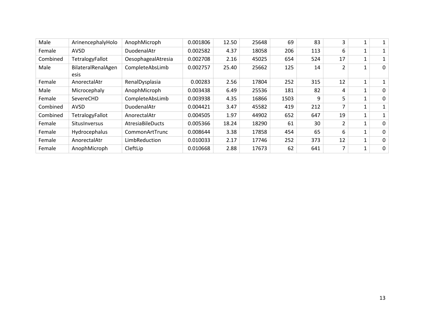| Male     | ArinencephalyHolo          | AnophMicroph       | 0.001806 | 12.50 | 25648 | 69   | 83  | 3                        |              |              |
|----------|----------------------------|--------------------|----------|-------|-------|------|-----|--------------------------|--------------|--------------|
| Female   | AVSD                       | DuodenalAtr        | 0.002582 | 4.37  | 18058 | 206  | 113 | 6                        | 1            |              |
| Combined | TetralogyFallot            | OesophagealAtresia | 0.002708 | 2.16  | 45025 | 654  | 524 | 17                       |              |              |
| Male     | BilateralRenalAgen<br>esis | CompleteAbsLimb    | 0.002757 | 25.40 | 25662 | 125  | 14  | $\overline{2}$           |              | $\mathbf{0}$ |
| Female   | AnorectalAtr               | RenalDysplasia     | 0.00283  | 2.56  | 17804 | 252  | 315 | 12                       |              |              |
| Male     | Microcephaly               | AnophMicroph       | 0.003438 | 6.49  | 25536 | 181  | 82  | 4                        |              | $\mathbf{0}$ |
| Female   | SevereCHD                  | CompleteAbsLimb    | 0.003938 | 4.35  | 16866 | 1503 | 9   | 5                        |              | $\mathbf{0}$ |
| Combined | AVSD                       | DuodenalAtr        | 0.004421 | 3.47  | 45582 | 419  | 212 | $\overline{\phantom{a}}$ | $\mathbf{1}$ |              |
| Combined | TetralogyFallot            | AnorectalAtr       | 0.004505 | 1.97  | 44902 | 652  | 647 | 19                       | 1            |              |
| Female   | <b>SitusInversus</b>       | AtresiaBileDucts   | 0.005366 | 18.24 | 18290 | 61   | 30  | $\overline{2}$           | 1            | $\mathbf{0}$ |
| Female   | Hydrocephalus              | CommonArtTrunc     | 0.008644 | 3.38  | 17858 | 454  | 65  | 6                        |              | $\mathbf{0}$ |
| Female   | AnorectalAtr               | LimbReduction      | 0.010033 | 2.17  | 17746 | 252  | 373 | 12                       |              | $\Omega$     |
| Female   | AnophMicroph               | CleftLip           | 0.010668 | 2.88  | 17673 | 62   | 641 | 7                        |              | $\mathbf 0$  |
|          |                            |                    |          |       |       |      |     |                          |              |              |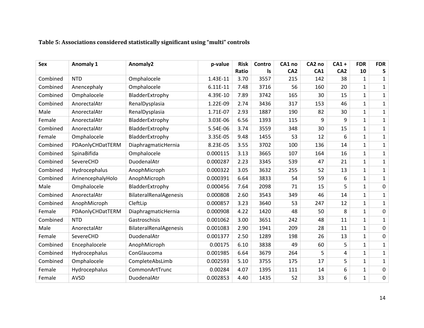| <b>Sex</b> | <b>Anomaly 1</b>  | Anomaly2               | p-value  | <b>Risk</b> | Contro | CA1 no          | CA2 no | $CA1 +$         | <b>FDR</b>   | <b>FDR</b>   |
|------------|-------------------|------------------------|----------|-------------|--------|-----------------|--------|-----------------|--------------|--------------|
|            |                   |                        |          | Ratio       | ls     | CA <sub>2</sub> | CA1    | CA <sub>2</sub> | 10           | 5            |
| Combined   | <b>NTD</b>        | Omphalocele            | 1.43E-11 | 3.70        | 3557   | 215             | 142    | 38              | $\mathbf{1}$ | $\mathbf{1}$ |
| Combined   | Anencephaly       | Omphalocele            | 6.11E-11 | 7.48        | 3716   | 56              | 160    | 20              | $\mathbf{1}$ | $\mathbf{1}$ |
| Combined   | Omphalocele       | BladderExtrophy        | 4.39E-10 | 7.89        | 3742   | 165             | 30     | 15              | $\mathbf{1}$ | $\mathbf{1}$ |
| Combined   | AnorectalAtr      | RenalDysplasia         | 1.22E-09 | 2.74        | 3436   | 317             | 153    | 46              | $\mathbf 1$  | $\mathbf{1}$ |
| Male       | AnorectalAtr      | RenalDysplasia         | 1.71E-07 | 2.93        | 1887   | 190             | 82     | 30              | $\mathbf{1}$ | $\mathbf{1}$ |
| Female     | AnorectalAtr      | BladderExtrophy        | 3.03E-06 | 6.56        | 1393   | 115             | 9      | 9               | $\mathbf{1}$ | $\mathbf{1}$ |
| Combined   | AnorectalAtr      | BladderExtrophy        | 5.54E-06 | 3.74        | 3559   | 348             | 30     | 15              | $\mathbf{1}$ | 1            |
| Female     | Omphalocele       | BladderExtrophy        | 3.35E-05 | 9.48        | 1455   | 53              | 12     | 6               | $\mathbf{1}$ | $\mathbf{1}$ |
| Combined   | PDAonlyCHDatTERM  | DiaphragmaticHernia    | 8.23E-05 | 3.55        | 3702   | 100             | 136    | 14              | $\mathbf{1}$ | $\mathbf{1}$ |
| Combined   | SpinaBifida       | Omphalocele            | 0.000115 | 3.13        | 3665   | 107             | 164    | 16              | $\mathbf{1}$ | $\mathbf{1}$ |
| Combined   | SevereCHD         | DuodenalAtr            | 0.000287 | 2.23        | 3345   | 539             | 47     | 21              | $\mathbf{1}$ | $\mathbf{1}$ |
| Combined   | Hydrocephalus     | AnophMicroph           | 0.000322 | 3.05        | 3632   | 255             | 52     | 13              | $\mathbf{1}$ | $\mathbf{1}$ |
| Combined   | ArinencephalyHolo | AnophMicroph           | 0.000391 | 6.64        | 3833   | 54              | 59     | 6               | $\mathbf{1}$ | $\mathbf{1}$ |
| Male       | Omphalocele       | BladderExtrophy        | 0.000456 | 7.64        | 2098   | 71              | 15     | 5               | $\mathbf{1}$ | $\mathbf 0$  |
| Combined   | AnorectalAtr      | BilateralRenalAgenesis | 0.000808 | 2.60        | 3543   | 349             | 46     | 14              | $\mathbf{1}$ | $\mathbf{1}$ |
| Combined   | AnophMicroph      | CleftLip               | 0.000857 | 3.23        | 3640   | 53              | 247    | 12              | $\mathbf{1}$ | $\mathbf{1}$ |
| Female     | PDAonlyCHDatTERM  | DiaphragmaticHernia    | 0.000908 | 4.22        | 1420   | 48              | 50     | 8               | $\mathbf{1}$ | $\mathbf 0$  |
| Combined   | <b>NTD</b>        | Gastroschisis          | 0.001062 | 3.00        | 3651   | 242             | 48     | 11              | $\mathbf 1$  | $\mathbf{1}$ |
| Male       | AnorectalAtr      | BilateralRenalAgenesis | 0.001083 | 2.90        | 1941   | 209             | 28     | 11              | $\mathbf{1}$ | $\mathbf 0$  |
| Female     | SevereCHD         | DuodenalAtr            | 0.001377 | 2.50        | 1289   | 198             | 26     | 13              | $\mathbf{1}$ | $\pmb{0}$    |
| Combined   | Encephalocele     | AnophMicroph           | 0.00175  | 6.10        | 3838   | 49              | 60     | 5               | $\mathbf{1}$ | $\mathbf{1}$ |
| Combined   | Hydrocephalus     | ConGlaucoma            | 0.001985 | 6.64        | 3679   | 264             | 5      | $\overline{a}$  | $\mathbf{1}$ | $\mathbf{1}$ |
| Combined   | Omphalocele       | CompleteAbsLimb        | 0.002593 | 5.10        | 3755   | 175             | 17     | 5               | $\mathbf 1$  | $\mathbf{1}$ |
| Female     | Hydrocephalus     | CommonArtTrunc         | 0.00284  | 4.07        | 1395   | 111             | 14     | 6               | $\mathbf{1}$ | $\mathbf 0$  |
| Female     | <b>AVSD</b>       | DuodenalAtr            | 0.002853 | 4.40        | 1435   | 52              | 33     | 6               | $\mathbf{1}$ | $\pmb{0}$    |